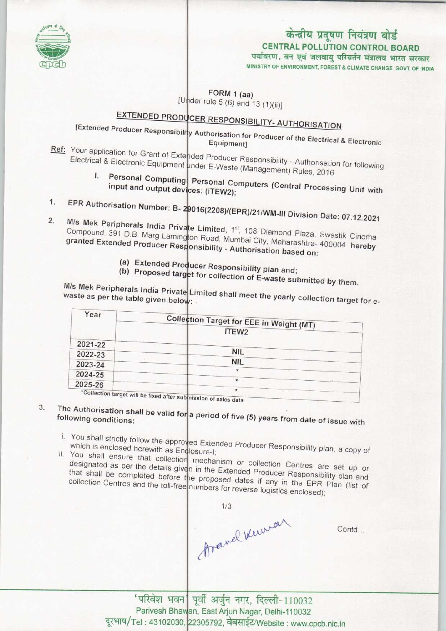

# केन्द्रीय प्रदूषण नियंत्रण बोर्ड CENTRAL POLLUTION CONTROL BOARD

पर्यावरण, वन एवं जलवायु परिवर्तन मंत्रालय भारत सरकार<br>мінізтву ог енvівонмент, говезт & сымате снаное govt. ог інріа

FORM 1 (aa)

 $[Under rule 5 (6) and 13 (1)(ii)]$ 

### EXTENDED PRODUCER RESPONSIBILITY- AUTHORISATION [Extended Producer Responsibility Authorisation for AUTHORISATION

- Equipment]  $Ref: Your application for Grant of   $\overline{F}_{\text{ref}}$  - Authorisation for  $\overline{F}_{\text{ref}}$  - Authorisation for  $\overline{F}_{\text{ref}}$  and  $\overline{F}_{\text{ref}}$  and  $\overline{F}_{\text{ref}}$  and  $\overline{F}_{\text{ref}}$  and  $\overline{F}_{\text{ref}}$  and  $\overline{F}_{\text{ref}}$  and  $\overline{F}_{\text{ref}}$  and  $\overline{F}_{\$ </u>$
- Electrical & Electronic Equipment under Cataloguer Responsibility Authorisation
- I. Personal Computing Personal C input and output devices: (ITEW2); input and output devices: (ITEW2);<br>1. EPR Authorisation Number: B- 29016(2208)/(EPR)/21/WM-NI Division Date:
- 
- <sup>1.</sup> EPR Authorisation Number: B- 29016(2208)/(EPR)/21/WM-III Division Date: 07.12.202 M/s Mek Peripherals India Private Limited, 1<sup>st</sup>, 108 Diamond Plaza, Swastik Cinema<br>Compound, 391 D.B. Marg Lamington Road, Mumbai City, Maharashtra- 400004 hereby<br>granted Extended Producer Responsibility - Authorisation b Compound, 391 D.B. Marg Lamington Road, Mumbai City, Maharashtra- 400004 hereby
	- (a) Extended Producer Responsibility plan and;
	- (b) Proposed target for collection of E-waste submitted by them.

 $M/s$  Mek Peripherals India Private  $\left| L_{\text{max}} \right|$  in target for  $\epsilon$  was describinitied by them. waste as per the table given belc

| Year    |                                                             |
|---------|-------------------------------------------------------------|
|         | Collection Target for EEE in Weight (MT)                    |
|         | ITEW2                                                       |
| 2021-22 |                                                             |
| 2022-23 | <b>NIL</b>                                                  |
| 2023-24 | <b>NIL</b>                                                  |
| 2024-25 | ÷                                                           |
| 2025-26 | $\star$                                                     |
|         | $\star$<br>*Collection target will be fixed after such that |

fixed after submission of sales data.

- The Authorisation shall be valid for a period of  $\overline{5}$ 3. following conditions:
	- i. You shall strictly follow the approach Extended Producer Responsibility plan, a copy of Responsibility plan, a copy of Responsibility plan, a copy of Responsibility plan, a copy of Responsibility plan, a copy of Respons which is enclosed herewith as Englosure-I;
	- ii. You shall ensure that collection meats:<br>ii. You shall ensure that collection meats: designated as per the details given in the Extended Production. Centres are set up of
	- designated as per the details given in the Extended Producer Responsibility plan and<br>that shall be completed before the proposed dates if any in the EPR Plan (list of<br>collection Centres and the toll-free numbers for revers that shall be completed before the proposed dates if any in the EPR Plan (list of

1/3<br>Aravel Kawar

Contd...

पूर्वी अर्जुन नगर, दिल्ली-110032<br>In Fast Ariun Nagar, Delhi-110032 । अजुन नगर, ।दल्ला-110032<br>East Arjun Nagar, Delhi-110032<br>।5792, वेबसाईट/Website : www.cpcb.nic.in Parivesh Bhawan, East Arjun Nagar, Delhi-110032 Tel: 43102030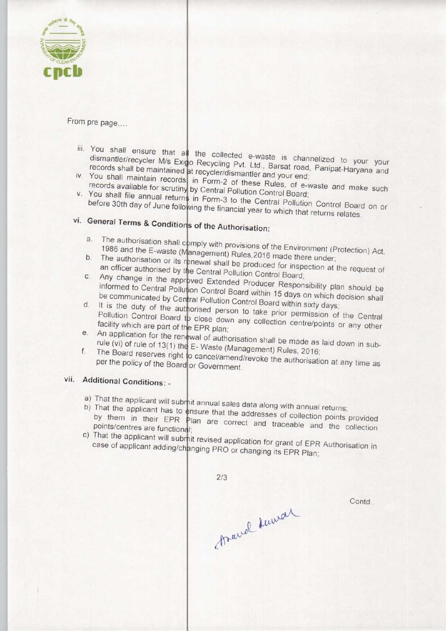

From pre page....

- ijj. You shall ensure that al the collected e-waste is channelized to your your Tou shall ensure that all the collected e-waste is channelized to your your dismantler/recycler M/s Exigo Recycling Pvt. Ltd., Barsat road, Panipat-Haryana and records shall be maintained at recycler/dismantler and your end; iv. You shall maintain records in Form-2 of the Rules and your end;<br>iv. You shall maintain records, in Form-2 of the Rules and your end;
- records available for scruting by Central Pollution Coulds, of ev. You shall file annual returns in Form 3 to the Control Board;
- before 30th day of June following the financial Central Pollution Control Boar before 30th day of June following the financial year to which that returns relates.<br>vi. General Terms & Conditions of the Authorisation:

- a. The authorisation shall comply with provisions of the Environment (Protection) Act,<br>1986 and the E-waste (Management) Bulge 2018 magement) Rules, 2016 made there under 1986 and the E-waste
- The authorisation or its renewal shall be produced for inspection at the request of<br>an officer authorised by the Central Pollution Central La
- an officer authorised by the Central Pollution Control Board;<br>C. Any change in the approved Extended Producer Bespect Any change in the approved Extended Producer Responsibility plan should be<br>informed to Central Pollution Control Beard Informed to Central Pollution Control Board within 15 days on which decision shall<br>be communicated by Central Pollution Central D be communicated by Central Pollution Control Board within 15 days on which of the communicated by Central Pollution Control Board within sixty days
- It is the duty of the authorised person to take prior permission of the Central<br>Pollution Control Board to close down any will be prior permission of the Central Pollution Control Board to close down any collection centre/points or any other<br>facility which are part of the EPP plan: facility which are part of the EPR plan; facility which are part of the EPR plan;<br>e. An application for the renewal of authorisation shall be made as laid down in sub-
- E- Waste (Management) Rules, 2016; rule (vi) of rule of  $13(1)$  thing F. Air application for the reserves right<br>f. The Board reserves right
- cancel/amend/revoke the authorisation at any time per the policy of the Board or Government. per the policy of the

# vii. Additional Conditions: -

- a) That the applicant will submit annual sales data along with annual returns;<br>b) That the applicant has to ensure that the addresses of collections;
- b) That the applicant has to ensure that the addresses of collection points provided<br>by them in their EPR Plan are correct and traceable and the collection<br>points/centres are functional: by them in their EPR Plan are correct and traceable and the collection
- c) That the applicant will submit revised application for the EPR Concernor case of applicant adding/changing PRO or changing its EPR Plan

 $2/3$ thave knowed

Contd.